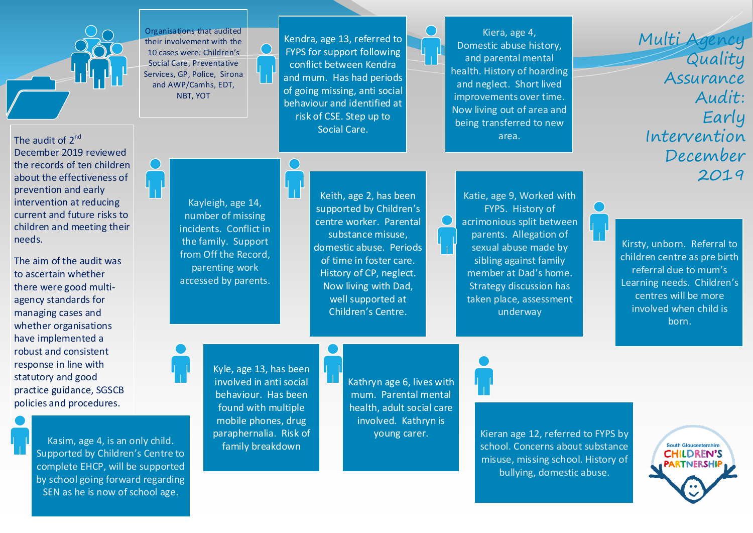

Organisations that audited their involvement with the 10 cases were: Children's Social Care, Preventative Services, GP, Police, Sirona and AWP/Camhs, EDT, NBT, YOT

Kendra, age 13, referred to FYPS for support following conflict between Kendra and mum. Has had periods of going missing, anti social behaviour and identified at risk of CSE. Step up to Social Care.

Kiera, age 4, Domestic abuse history, and parental mental health. History of hoarding and neglect. Short lived improvements over time. Now living out of area and being transferred to new area.

Multi Agency Quality Assurance Audit: Early Intervention December 2019

December 2019 reviewed the records of ten children about the effectiveness of prevention and early intervention at reducing current and future risks to children and meeting their needs.

The audit of 2<sup>nd</sup>

The aim of the audit was to ascertain whether there were good multiagency standards for managing cases and whether organisations have implemented a robust and consistent response in line with statutory and good practice guidance, SGSCB policies and procedures.

> Kasim, age 4, is an only child. Supported by Children's Centre to complete EHCP, will be supported by school going forward regarding SEN as he is now of school age.

Kayleigh, age 14, number of missing incidents. Conflict in the family. Support from Off the Record, parenting work accessed by parents.

Keith, age 2, has been supported by Children's centre worker. Parental substance misuse, domestic abuse. Periods of time in foster care. History of CP, neglect. Now living with Dad, well supported at Children's Centre.

Katie, age 9, Worked with FYPS. History of acrimonious split between parents. Allegation of sexual abuse made by sibling against family member at Dad's home. Strategy discussion has taken place, assessment underway

Kirsty, unborn. Referral to children centre as pre birth referral due to mum's Learning needs. Children's centres will be more involved when child is born.

Kyle, age 13, has been involved in anti social behaviour. Has been found with multiple mobile phones, drug paraphernalia. Risk of family breakdown

Kathryn age 6, lives with mum. Parental mental health, adult social care involved. Kathryn is young carer.



Kieran age 12, referred to FYPS by school. Concerns about substance misuse, missing school. History of bullying, domestic abuse.